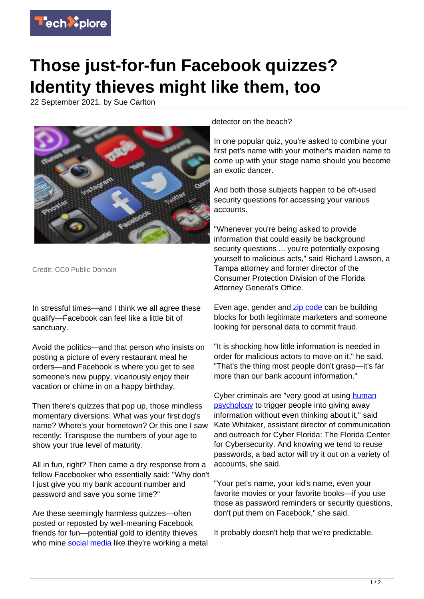

## **Those just-for-fun Facebook quizzes? Identity thieves might like them, too**

22 September 2021, by Sue Carlton



Credit: CC0 Public Domain

In stressful times—and I think we all agree these qualify—Facebook can feel like a little bit of sanctuary.

Avoid the politics—and that person who insists on posting a picture of every restaurant meal he orders—and Facebook is where you get to see someone's new puppy, vicariously enjoy their vacation or chime in on a happy birthday.

Then there's quizzes that pop up, those mindless momentary diversions: What was your first dog's name? Where's your hometown? Or this one I saw recently: Transpose the numbers of your age to show your true level of maturity.

All in fun, right? Then came a dry response from a fellow Facebooker who essentially said: "Why don't I just give you my bank account number and password and save you some time?"

Are these seemingly harmless quizzes—often posted or reposted by well-meaning Facebook friends for fun—potential gold to identity thieves who mine [social media](https://techxplore.com/tags/social+media/) like they're working a metal

## detector on the beach?

In one popular quiz, you're asked to combine your first pet's name with your mother's maiden name to come up with your stage name should you become an exotic dancer.

And both those subjects happen to be oft-used security questions for accessing your various accounts.

"Whenever you're being asked to provide information that could easily be background security questions ... you're potentially exposing yourself to malicious acts," said Richard Lawson, a Tampa attorney and former director of the Consumer Protection Division of the Florida Attorney General's Office.

Even age, gender and [zip code](https://techxplore.com/tags/zip+code/) can be building blocks for both legitimate marketers and someone looking for personal data to commit fraud.

"It is shocking how little information is needed in order for malicious actors to move on it," he said. "That's the thing most people don't grasp—it's far more than our bank account information."

Cyber criminals are "very good at using [human](https://techxplore.com/tags/human+psychology/) [psychology](https://techxplore.com/tags/human+psychology/) to trigger people into giving away information without even thinking about it," said Kate Whitaker, assistant director of communication and outreach for Cyber Florida: The Florida Center for Cybersecurity. And knowing we tend to reuse passwords, a bad actor will try it out on a variety of accounts, she said.

"Your pet's name, your kid's name, even your favorite movies or your favorite books—if you use those as password reminders or security questions, don't put them on Facebook," she said.

It probably doesn't help that we're predictable.